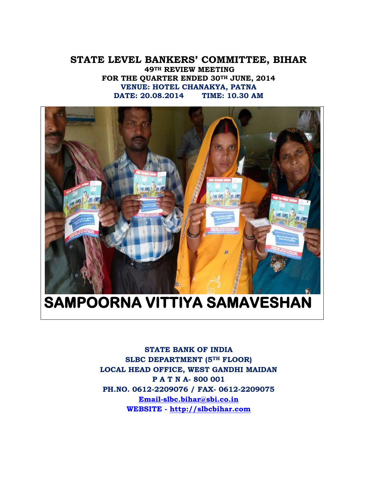#### **STATE LEVEL BANKERS' COMMITTEE, BIHAR 49TH REVIEW MEETING FOR THE QUARTER ENDED 30TH JUNE, 2014 VENUE: HOTEL CHANAKYA, PATNA DATE: 20.08.2014 TIME: 10.30 AM**



**STATE BANK OF INDIA SLBC DEPARTMENT (5TH FLOOR) LOCAL HEAD OFFICE, WEST GANDHI MAIDAN P A T N A- 800 001 PH.NO. 0612-2209076 / FAX- 0612-2209075 [Email-slbc.bihar@sbi.co.in](mailto:Email-slbc.bihar@sbi.co.in) WEBSITE - [http://slbcbihar.com](http://slbcbihar.com/)**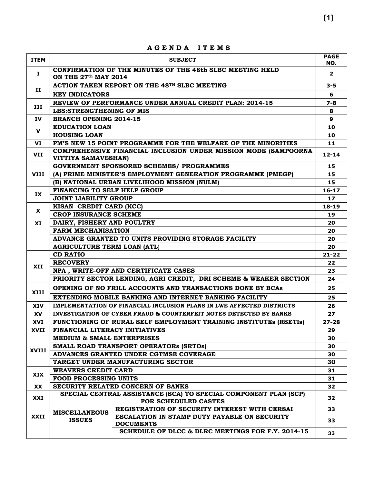|             |                                                                   | AGENDA ITEMS                                                          |                    |  |
|-------------|-------------------------------------------------------------------|-----------------------------------------------------------------------|--------------------|--|
| <b>ITEM</b> |                                                                   | <b>SUBJECT</b>                                                        | <b>PAGE</b><br>NO. |  |
| Ι.          | ON THE 27th MAY 2014                                              | CONFIRMATION OF THE MINUTES OF THE 48th SLBC MEETING HELD             | $\overline{2}$     |  |
|             |                                                                   | ACTION TAKEN REPORT ON THE 48TH SLBC MEETING                          | $3 - 5$            |  |
| п           | <b>KEY INDICATORS</b>                                             |                                                                       | 6                  |  |
|             |                                                                   | REVIEW OF PERFORMANCE UNDER ANNUAL CREDIT PLAN: 2014-15               | 7-8                |  |
| III         | <b>LBS:STRENGTHENING OF MIS</b>                                   |                                                                       | 8                  |  |
| IV          | <b>BRANCH OPENING 2014-15</b>                                     |                                                                       | 9                  |  |
|             | <b>EDUCATION LOAN</b>                                             |                                                                       | 10                 |  |
| v           | <b>HOUSING LOAN</b>                                               |                                                                       | 10                 |  |
| VI          |                                                                   | PM'S NEW 15 POINT PROGRAMME FOR THE WELFARE OF THE MINORITIES         | 11                 |  |
| VII         | VITTIYA SAMAVESHAN)                                               | COMPREHENSIVE FINANCIAL INCLUSION UNDER MISSION MODE (SAMPOORNA       | $12 - 14$          |  |
|             |                                                                   | <b>GOVERNMENT SPONSORED SCHEMES/ PROGRAMMES</b>                       | 15                 |  |
| <b>VIII</b> |                                                                   | (A) PRIME MINISTER'S EMPLOYMENT GENERATION PROGRAMME (PMEGP)          | 15                 |  |
|             |                                                                   | (B) NATIONAL URBAN LIVELIHOOD MISSION (NULM)                          | 15                 |  |
| IX          | FINANCING TO SELF HELP GROUP                                      |                                                                       | $16 - 17$          |  |
|             | <b>JOINT LIABILITY GROUP</b>                                      |                                                                       |                    |  |
| X           | KISAN CREDIT CARD (KCC)                                           |                                                                       | $18 - 19$          |  |
|             | <b>CROP INSURANCE SCHEME</b>                                      |                                                                       | 19                 |  |
| XI          | DAIRY, FISHERY AND POULTRY                                        |                                                                       | 20                 |  |
|             | <b>FARM MECHANISATION</b>                                         |                                                                       | 20                 |  |
|             |                                                                   | ADVANCE GRANTED TO UNITS PROVIDING STORAGE FACILITY                   | 20                 |  |
|             | <b>AGRICULTURE TERM LOAN (ATL)</b>                                |                                                                       | 20                 |  |
|             | <b>CD RATIO</b>                                                   |                                                                       | $21 - 22$          |  |
| XII         | <b>RECOVERY</b>                                                   |                                                                       | 22                 |  |
|             |                                                                   | NPA, WRITE-OFF AND CERTIFICATE CASES                                  | 23                 |  |
|             |                                                                   | PRIORITY SECTOR LENDING, AGRI CREDIT, DRI SCHEME & WEAKER SECTION     | 24                 |  |
| <b>XIII</b> |                                                                   | OPENING OF NO FRILL ACCOUNTS AND TRANSACTIONS DONE BY BCAs            | 25                 |  |
|             |                                                                   | EXTENDING MOBILE BANKING AND INTERNET BANKING FACILITY                | 25                 |  |
| <b>XIV</b>  |                                                                   | IMPLEMENTATION OF FINANCIAL INCLUSION PLANS IN LWE AFFECTED DISTRICTS | 26                 |  |
| XV          |                                                                   | INVESTIGATION OF CYBER FRAUD & COUNTERFEIT NOTES DETECTED BY BANKS    | 27                 |  |
| XVI         |                                                                   | FUNCTIONING OF RURAL SELF EMPLOYMENT TRAINING INSTITUTES (RSETIS)     | $27 - 28$          |  |
| XVII        | FINANCIAL LITERACY INITIATIVES                                    |                                                                       | 29                 |  |
|             | <b>MEDIUM &amp; SMALL ENTERPRISES</b>                             |                                                                       | 30                 |  |
| XVIII       |                                                                   | SMALL ROAD TRANSPORT OPERATORS (SRTOS)                                | 30                 |  |
|             |                                                                   | ADVANCES GRANTED UNDER CGTMSE COVERAGE                                | 30<br>30           |  |
|             | TARGET UNDER MANUFACTURING SECTOR                                 |                                                                       |                    |  |
| XIX         | <b>WEAVERS CREDIT CARD</b>                                        |                                                                       | 31<br>31           |  |
|             | <b>FOOD PROCESSING UNITS</b><br>SECURITY RELATED CONCERN OF BANKS |                                                                       |                    |  |
| XX          |                                                                   | SPECIAL CENTRAL ASSISTANCE (SCA) TO SPECIAL COMPONENT PLAN (SCP)      | 32                 |  |
| XXI         |                                                                   | FOR SCHEDULED CASTES                                                  | 32                 |  |
|             | <b>MISCELLANEOUS</b>                                              | REGISTRATION OF SECURITY INTEREST WITH CERSAI                         | 33                 |  |
| XXII        | <b>ISSUES</b>                                                     | ESCALATION IN STAMP DUTY PAYABLE ON SECURITY<br><b>DOCUMENTS</b>      | 33                 |  |
|             |                                                                   | SCHEDULE OF DLCC & DLRC MEETINGS FOR F.Y. 2014-15                     | 33                 |  |
|             |                                                                   |                                                                       |                    |  |

**A G E N D A I T E M S**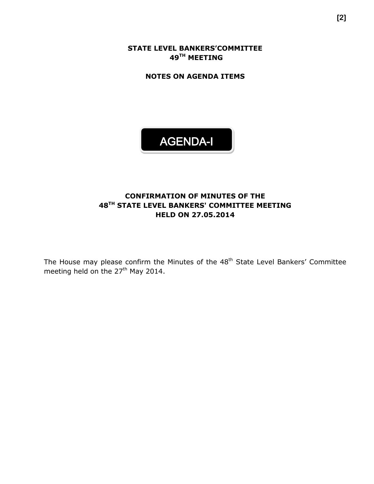**STATE LEVEL BANKERS'COMMITTEE 49 TH MEETING**

**NOTES ON AGENDA ITEMS**

# AGENDA-I

#### **CONFIRMATION OF MINUTES OF THE 48 TH STATE LEVEL BANKERS' COMMITTEE MEETING HELD ON 27.05.2014**

The House may please confirm the Minutes of the 48<sup>th</sup> State Level Bankers' Committee meeting held on the 27<sup>th</sup> May 2014.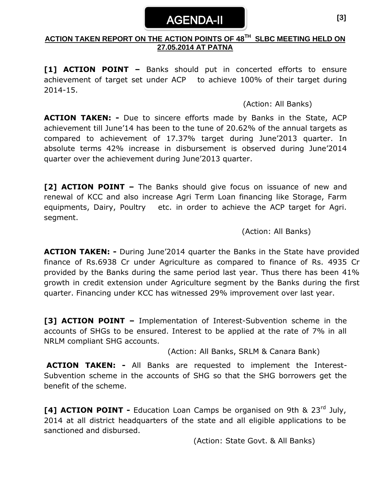## AGENDA-II

#### **ACTION TAKEN REPORT ON THE ACTION POINTS OF 48 TH SLBC MEETING HELD ON 27.05.2014 AT PATNA**

**[1] ACTION POINT –** Banks should put in concerted efforts to ensure achievement of target set under ACP to achieve 100% of their target during 2014-15.

(Action: All Banks)

**ACTION TAKEN: -** Due to sincere efforts made by Banks in the State, ACP achievement till June'14 has been to the tune of 20.62% of the annual targets as compared to achievement of 17.37% target during June'2013 quarter. In absolute terms 42% increase in disbursement is observed during June'2014 quarter over the achievement during June'2013 quarter.

**[2] ACTION POINT –** The Banks should give focus on issuance of new and renewal of KCC and also increase Agri Term Loan financing like Storage, Farm equipments, Dairy, Poultry etc. in order to achieve the ACP target for Agri. segment.

(Action: All Banks)

**ACTION TAKEN: -** During June'2014 quarter the Banks in the State have provided finance of Rs.6938 Cr under Agriculture as compared to finance of Rs. 4935 Cr provided by the Banks during the same period last year. Thus there has been 41% growth in credit extension under Agriculture segment by the Banks during the first quarter. Financing under KCC has witnessed 29% improvement over last year.

**[3] ACTION POINT –** Implementation of Interest-Subvention scheme in the accounts of SHGs to be ensured. Interest to be applied at the rate of 7% in all NRLM compliant SHG accounts.

(Action: All Banks, SRLM & Canara Bank)

**ACTION TAKEN: -** All Banks are requested to implement the Interest-Subvention scheme in the accounts of SHG so that the SHG borrowers get the benefit of the scheme.

**[4] ACTION POINT -** Education Loan Camps be organised on 9th & 23rd July, 2014 at all district headquarters of the state and all eligible applications to be sanctioned and disbursed.

(Action: State Govt. & All Banks)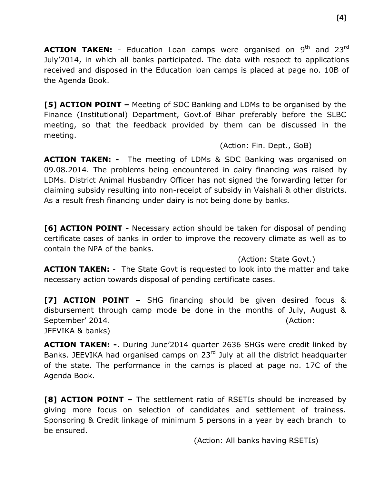**ACTION TAKEN:** - Education Loan camps were organised on 9<sup>th</sup> and 23<sup>rd</sup> July'2014, in which all banks participated. The data with respect to applications received and disposed in the Education loan camps is placed at page no. 10B of the Agenda Book.

**[5] ACTION POINT –** Meeting of SDC Banking and LDMs to be organised by the Finance (Institutional) Department, Govt.of Bihar preferably before the SLBC meeting, so that the feedback provided by them can be discussed in the meeting.

#### (Action: Fin. Dept., GoB)

**ACTION TAKEN: -** The meeting of LDMs & SDC Banking was organised on 09.08.2014. The problems being encountered in dairy financing was raised by LDMs. District Animal Husbandry Officer has not signed the forwarding letter for claiming subsidy resulting into non-receipt of subsidy in Vaishali & other districts. As a result fresh financing under dairy is not being done by banks.

**[6] ACTION POINT -** Necessary action should be taken for disposal of pending certificate cases of banks in order to improve the recovery climate as well as to contain the NPA of the banks.

(Action: State Govt.)

**ACTION TAKEN:** - The State Govt is requested to look into the matter and take necessary action towards disposal of pending certificate cases.

**[7] ACTION POINT –** SHG financing should be given desired focus & disbursement through camp mode be done in the months of July, August & September' 2014. (Action: JEEVIKA & banks)

**ACTION TAKEN: -**. During June'2014 quarter 2636 SHGs were credit linked by Banks. JEEVIKA had organised camps on 23<sup>rd</sup> July at all the district headquarter of the state. The performance in the camps is placed at page no. 17C of the Agenda Book.

**[8] ACTION POINT –** The settlement ratio of RSETIs should be increased by giving more focus on selection of candidates and settlement of trainess. Sponsoring & Credit linkage of minimum 5 persons in a year by each branch to be ensured.

(Action: All banks having RSETIs)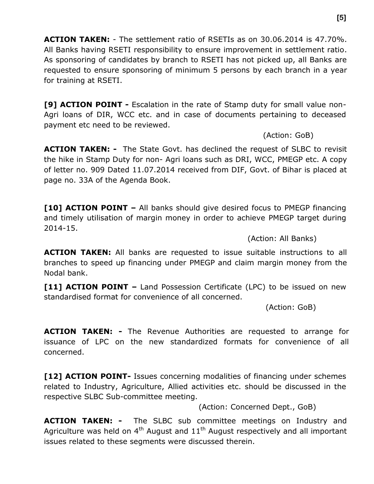**ACTION TAKEN:** - The settlement ratio of RSETIs as on 30.06.2014 is 47.70%. All Banks having RSETI responsibility to ensure improvement in settlement ratio. As sponsoring of candidates by branch to RSETI has not picked up, all Banks are requested to ensure sponsoring of minimum 5 persons by each branch in a year for training at RSETI.

**[9] ACTION POINT -** Escalation in the rate of Stamp duty for small value non-Agri loans of DIR, WCC etc. and in case of documents pertaining to deceased payment etc need to be reviewed.

(Action: GoB)

**ACTION TAKEN: -** The State Govt. has declined the request of SLBC to revisit the hike in Stamp Duty for non- Agri loans such as DRI, WCC, PMEGP etc. A copy of letter no. 909 Dated 11.07.2014 received from DIF, Govt. of Bihar is placed at page no. 33A of the Agenda Book.

**[10] ACTION POINT –** All banks should give desired focus to PMEGP financing and timely utilisation of margin money in order to achieve PMEGP target during 2014-15.

(Action: All Banks)

**ACTION TAKEN:** All banks are requested to issue suitable instructions to all branches to speed up financing under PMEGP and claim margin money from the Nodal bank.

**[11] ACTION POINT –** Land Possession Certificate (LPC) to be issued on new standardised format for convenience of all concerned.

(Action: GoB)

**ACTION TAKEN: -** The Revenue Authorities are requested to arrange for issuance of LPC on the new standardized formats for convenience of all concerned.

**[12] ACTION POINT-** Issues concerning modalities of financing under schemes related to Industry, Agriculture, Allied activities etc. should be discussed in the respective SLBC Sub-committee meeting.

(Action: Concerned Dept., GoB)

**ACTION TAKEN: -** The SLBC sub committee meetings on Industry and Agriculture was held on  $4<sup>th</sup>$  August and  $11<sup>th</sup>$  August respectively and all important issues related to these segments were discussed therein.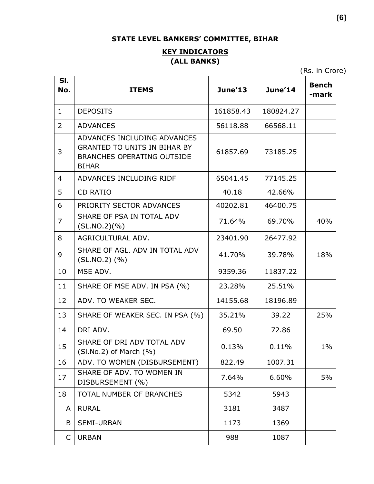### **STATE LEVEL BANKERS' COMMITTEE, BIHAR**

### **KEY INDICATORS (ALL BANKS)**

(Rs. in Crore)

| SI.<br>No.     | <b>ITEMS</b>                                                                                                            | June'13   | June'14   | <b>Bench</b><br>-mark |
|----------------|-------------------------------------------------------------------------------------------------------------------------|-----------|-----------|-----------------------|
| $\mathbf{1}$   | <b>DEPOSITS</b>                                                                                                         | 161858.43 | 180824.27 |                       |
| $\overline{2}$ | <b>ADVANCES</b>                                                                                                         | 56118.88  | 66568.11  |                       |
| 3              | ADVANCES INCLUDING ADVANCES<br><b>GRANTED TO UNITS IN BIHAR BY</b><br><b>BRANCHES OPERATING OUTSIDE</b><br><b>BIHAR</b> | 61857.69  | 73185.25  |                       |
| $\overline{4}$ | ADVANCES INCLUDING RIDF                                                                                                 | 65041.45  | 77145.25  |                       |
| 5              | <b>CD RATIO</b>                                                                                                         | 40.18     | 42.66%    |                       |
| 6              | PRIORITY SECTOR ADVANCES                                                                                                | 40202.81  | 46400.75  |                       |
| $\overline{7}$ | SHARE OF PSA IN TOTAL ADV<br>(SL.NO.2)(%)                                                                               | 71.64%    | 69.70%    | 40%                   |
| 8              | AGRICULTURAL ADV.                                                                                                       | 23401.90  | 26477.92  |                       |
| 9              | SHARE OF AGL. ADV IN TOTAL ADV<br>$(SL.NO.2)$ $(\% )$                                                                   | 41.70%    | 39.78%    | 18%                   |
| 10             | MSE ADV.                                                                                                                | 9359.36   | 11837.22  |                       |
| 11             | SHARE OF MSE ADV. IN PSA (%)                                                                                            | 23.28%    | 25.51%    |                       |
| 12             | ADV. TO WEAKER SEC.                                                                                                     | 14155.68  | 18196.89  |                       |
| 13             | SHARE OF WEAKER SEC. IN PSA (%)                                                                                         | 35.21%    | 39.22     | 25%                   |
| 14             | DRI ADV.                                                                                                                | 69.50     | 72.86     |                       |
| 15             | SHARE OF DRI ADV TOTAL ADV<br>$(SI.No.2)$ of March $(\% )$                                                              | 0.13%     | 0.11%     | $1\%$                 |
| 16             | ADV. TO WOMEN (DISBURSEMENT)                                                                                            | 822.49    | 1007.31   |                       |
| 17             | SHARE OF ADV. TO WOMEN IN<br>DISBURSEMENT (%)                                                                           | 7.64%     | 6.60%     | 5%                    |
| 18             | TOTAL NUMBER OF BRANCHES                                                                                                | 5342      | 5943      |                       |
| A              | <b>RURAL</b>                                                                                                            | 3181      | 3487      |                       |
| B              | <b>SEMI-URBAN</b>                                                                                                       | 1173      | 1369      |                       |
| C              | <b>URBAN</b>                                                                                                            | 988       | 1087      |                       |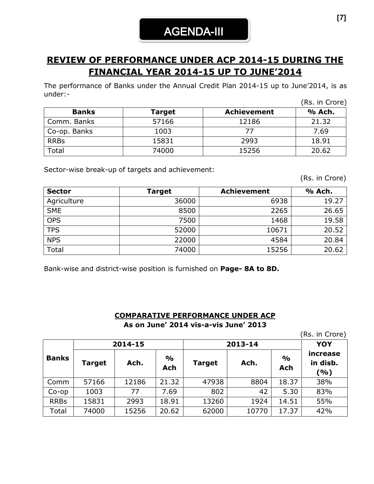AGENDA-III

## **REVIEW OF PERFORMANCE UNDER ACP 2014-15 DURING THE FINANCIAL YEAR 2014-15 UP TO JUNE'2014**

The performance of Banks under the Annual Credit Plan 2014-15 up to June'2014, is as under:- (Rs. in Crore)

|              |               |                    | (RS. III Crore) |
|--------------|---------------|--------------------|-----------------|
| <b>Banks</b> | <b>Target</b> | <b>Achievement</b> | % Ach.          |
| Comm. Banks  | 57166         | 12186              | 21.32           |
| Co-op. Banks | 1003          |                    | 7.69            |
| <b>RRBs</b>  | 15831         | 2993               | 18.91           |
| Total        | 74000         | 15256              | 20.62           |

Sector-wise break-up of targets and achievement:

(Rs. in Crore)

| <b>Sector</b> | Target | <b>Achievement</b> | % Ach. |
|---------------|--------|--------------------|--------|
| Agriculture   | 36000  | 6938               | 19.27  |
| <b>SME</b>    | 8500   | 2265               | 26.65  |
| <b>OPS</b>    | 7500   | 1468               | 19.58  |
| <b>TPS</b>    | 52000  | 10671              | 20.52  |
| <b>NPS</b>    | 22000  | 4584               | 20.84  |
| Total         | 74000  | 15256              | 20.62  |

Bank-wise and district-wise position is furnished on **Page- 8A to 8D.**

#### **COMPARATIVE PERFORMANCE UNDER ACP As on June' 2014 vis-a-vis June' 2013**

(Rs. in Crore)

|              |        | 2014-15 |                      | 2013-14       | <b>YOY</b> |                      |                             |
|--------------|--------|---------|----------------------|---------------|------------|----------------------|-----------------------------|
| <b>Banks</b> | Target | Ach.    | $\frac{6}{6}$<br>Ach | <b>Target</b> | Ach.       | $\frac{1}{2}$<br>Ach | increase<br>in disb.<br>(%) |
| Comm         | 57166  | 12186   | 21.32                | 47938         | 8804       | 18.37                | 38%                         |
| $Co$ -op     | 1003   | 77      | 7.69                 | 802           | 42         | 5.30                 | 83%                         |
| <b>RRBs</b>  | 15831  | 2993    | 18.91                | 13260         | 1924       | 14.51                | 55%                         |
| Total        | 74000  | 15256   | 20.62                | 62000         | 10770      | 17.37                | 42%                         |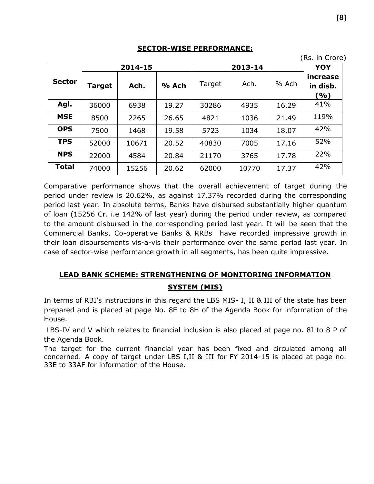#### **SECTOR-WISE PERFORMANCE:**

| 2014-15       |        |       |       |        | 2013-14 | YOY   |                             |
|---------------|--------|-------|-------|--------|---------|-------|-----------------------------|
| <b>Sector</b> | Target | Ach.  | % Ach | Target | Ach.    | % Ach | increase<br>in disb.<br>(%) |
| Agl.          | 36000  | 6938  | 19.27 | 30286  | 4935    | 16.29 | 41%                         |
| <b>MSE</b>    | 8500   | 2265  | 26.65 | 4821   | 1036    | 21.49 | 119%                        |
| <b>OPS</b>    | 7500   | 1468  | 19.58 | 5723   | 1034    | 18.07 | 42%                         |
| <b>TPS</b>    | 52000  | 10671 | 20.52 | 40830  | 7005    | 17.16 | 52%                         |
| <b>NPS</b>    | 22000  | 4584  | 20.84 | 21170  | 3765    | 17.78 | 22%                         |
| <b>Total</b>  | 74000  | 15256 | 20.62 | 62000  | 10770   | 17.37 | 42%                         |

Comparative performance shows that the overall achievement of target during the period under review is 20.62%, as against 17.37% recorded during the corresponding period last year. In absolute terms, Banks have disbursed substantially higher quantum of loan (15256 Cr. i.e 142% of last year) during the period under review, as compared to the amount disbursed in the corresponding period last year. It will be seen that the Commercial Banks, Co-operative Banks & RRBs have recorded impressive growth in their loan disbursements vis-a-vis their performance over the same period last year. In case of sector-wise performance growth in all segments, has been quite impressive.

## **LEAD BANK SCHEME: STRENGTHENING OF MONITORING INFORMATION SYSTEM (MIS)**

In terms of RBI's instructions in this regard the LBS MIS- I, II & III of the state has been prepared and is placed at page No. 8E to 8H of the Agenda Book for information of the House.

LBS-IV and V which relates to financial inclusion is also placed at page no. 8I to 8 P of the Agenda Book.

The target for the current financial year has been fixed and circulated among all concerned. A copy of target under LBS I,II & III for FY 2014-15 is placed at page no. 33E to 33AF for information of the House.

(Rs. in Crore)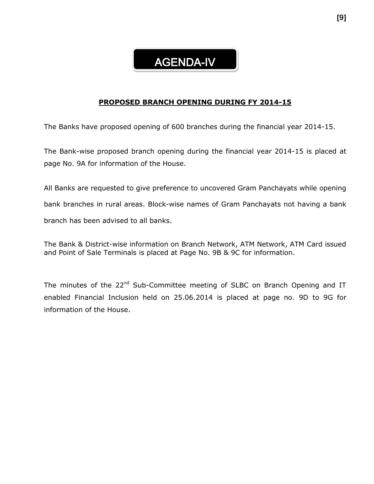## AGENDA-IV

#### **PROPOSED BRANCH OPENING DURING FY 2014-15**

The Banks have proposed opening of 600 branches during the financial year 2014-15.

The Bank-wise proposed branch opening during the financial year 2014-15 is placed at page No. 9A for information of the House.

All Banks are requested to give preference to uncovered Gram Panchayats while opening bank branches in rural areas. Block-wise names of Gram Panchayats not having a bank branch has been advised to all banks.

The Bank & District-wise information on Branch Network, ATM Network, ATM Card issued and Point of Sale Terminals is placed at Page No. 9B & 9C for information.

The minutes of the 22<sup>nd</sup> Sub-Committee meeting of SLBC on Branch Opening and IT enabled Financial Inclusion held on 25.06.2014 is placed at page no. 9D to 9G for information of the House.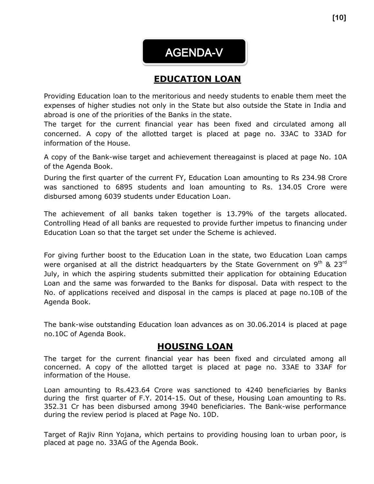AGENDA-V

## **EDUCATION LOAN**

Providing Education loan to the meritorious and needy students to enable them meet the expenses of higher studies not only in the State but also outside the State in India and abroad is one of the priorities of the Banks in the state.

The target for the current financial year has been fixed and circulated among all concerned. A copy of the allotted target is placed at page no. 33AC to 33AD for information of the House.

A copy of the Bank-wise target and achievement thereagainst is placed at page No. 10A of the Agenda Book.

During the first quarter of the current FY, Education Loan amounting to Rs 234.98 Crore was sanctioned to 6895 students and loan amounting to Rs. 134.05 Crore were disbursed among 6039 students under Education Loan.

The achievement of all banks taken together is 13.79% of the targets allocated. Controlling Head of all banks are requested to provide further impetus to financing under Education Loan so that the target set under the Scheme is achieved.

For giving further boost to the Education Loan in the state, two Education Loan camps were organised at all the district headquarters by the State Government on  $9<sup>th</sup>$  & 23<sup>rd</sup> July, in which the aspiring students submitted their application for obtaining Education Loan and the same was forwarded to the Banks for disposal. Data with respect to the No. of applications received and disposal in the camps is placed at page no.10B of the Agenda Book.

The bank-wise outstanding Education loan advances as on 30.06.2014 is placed at page no.10C of Agenda Book.

## **HOUSING LOAN**

The target for the current financial year has been fixed and circulated among all concerned. A copy of the allotted target is placed at page no. 33AE to 33AF for information of the House.

Loan amounting to Rs.423.64 Crore was sanctioned to 4240 beneficiaries by Banks during the first quarter of F.Y. 2014-15. Out of these, Housing Loan amounting to Rs. 352.31 Cr has been disbursed among 3940 beneficiaries. The Bank-wise performance during the review period is placed at Page No. 10D.

Target of Rajiv Rinn Yojana, which pertains to providing housing loan to urban poor, is placed at page no. 33AG of the Agenda Book.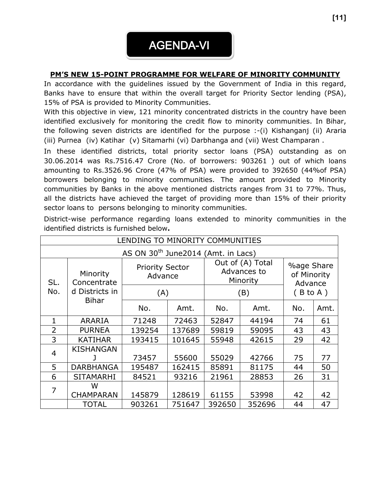

#### **PM'S NEW 15-POINT PROGRAMME FOR WELFARE OF MINORITY COMMUNITY**

In accordance with the guidelines issued by the Government of India in this regard, Banks have to ensure that within the overall target for Priority Sector lending (PSA), 15% of PSA is provided to Minority Communities.

With this objective in view, 121 minority concentrated districts in the country have been identified exclusively for monitoring the credit flow to minority communities. In Bihar, the following seven districts are identified for the purpose :-(i) Kishanganj (ii) Araria (iii) Purnea (iv) Katihar (v) Sitamarhi (vi) Darbhanga and (vii) West Champaran .

In these identified districts, total priority sector loans (PSA) outstanding as on 30.06.2014 was Rs.7516.47 Crore (No. of borrowers:903261 ) out of which loans amounting to Rs.3526.96 Crore (47% of PSA) were provided to 392650 (44%of PSA) borrowers belonging to minority communities. The amount provided to Minority communities by Banks in the above mentioned districts ranges from 31 to 77%. Thus, all the districts have achieved the target of providing more than 15% of their priority sector loans to persons belonging to minority communities.

| LENDING TO MINORITY COMMUNITIES                 |                         |        |                                   |        |                                             |          |                                             |  |
|-------------------------------------------------|-------------------------|--------|-----------------------------------|--------|---------------------------------------------|----------|---------------------------------------------|--|
| AS ON 30 <sup>th</sup> June 2014 (Amt. in Lacs) |                         |        |                                   |        |                                             |          |                                             |  |
| SL.                                             | Minority<br>Concentrate |        | <b>Priority Sector</b><br>Advance |        | Out of (A) Total<br>Advances to<br>Minority |          | <b>%age Share</b><br>of Minority<br>Advance |  |
| No.                                             | d Districts in          | (A)    |                                   |        | (B)                                         | (B to A) |                                             |  |
|                                                 | <b>Bihar</b>            | No.    | Amt.                              | No.    | Amt.                                        | No.      | Amt.                                        |  |
| 1                                               | <b>ARARIA</b>           | 71248  | 72463                             | 52847  | 44194                                       | 74       | 61                                          |  |
| $\overline{2}$                                  | <b>PURNEA</b>           | 139254 | 137689                            | 59819  | 59095                                       | 43       | 43                                          |  |
| 3                                               | <b>KATIHAR</b>          | 193415 | 101645                            | 55948  | 42615                                       | 29       | 42                                          |  |
| $\overline{4}$                                  | <b>KISHANGAN</b>        | 73457  | 55600                             | 55029  | 42766                                       | 75       | 77                                          |  |
| 5                                               | <b>DARBHANGA</b>        | 195487 | 162415                            | 85891  | 81175                                       | 44       | 50                                          |  |
| 6                                               | <b>SITAMARHI</b>        | 84521  | 93216                             | 21961  | 28853                                       | 26       | 31                                          |  |
| $\overline{7}$                                  | W                       |        |                                   |        |                                             |          |                                             |  |
|                                                 | <b>CHAMPARAN</b>        | 145879 | 128619                            | 61155  | 53998                                       | 42       | 42                                          |  |
|                                                 | <b>TOTAL</b>            | 903261 | 751647                            | 392650 | 352696                                      | 44       | 47                                          |  |

District-wise performance regarding loans extended to minority communities in the identified districts is furnished below**.**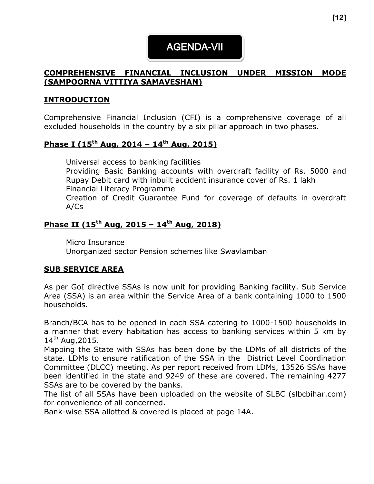## AGENDA-VII

### **COMPREHENSIVE FINANCIAL INCLUSION UNDER MISSION MODE (SAMPOORNA VITTIYA SAMAVESHAN)**

### **INTRODUCTION**

Comprehensive Financial Inclusion (CFI) is a comprehensive coverage of all excluded households in the country by a six pillar approach in two phases.

### **Phase I (15th Aug, 2014 – 14th Aug, 2015)**

Universal access to banking facilities Providing Basic Banking accounts with overdraft facility of Rs. 5000 and Rupay Debit card with inbuilt accident insurance cover of Rs. 1 lakh Financial Literacy Programme Creation of Credit Guarantee Fund for coverage of defaults in overdraft A/Cs

### **Phase II (15th Aug, 2015 – 14th Aug, 2018)**

Micro Insurance Unorganized sector Pension schemes like Swavlamban

#### **SUB SERVICE AREA**

As per GoI directive SSAs is now unit for providing Banking facility. Sub Service Area (SSA) is an area within the Service Area of a bank containing 1000 to 1500 households.

Branch/BCA has to be opened in each SSA catering to 1000-1500 households in a manner that every habitation has access to banking services within 5 km by  $14^{th}$  Aug, 2015.

Mapping the State with SSAs has been done by the LDMs of all districts of the state. LDMs to ensure ratification of the SSA in the District Level Coordination Committee (DLCC) meeting. As per report received from LDMs, 13526 SSAs have been identified in the state and 9249 of these are covered. The remaining 4277 SSAs are to be covered by the banks.

The list of all SSAs have been uploaded on the website of SLBC (slbcbihar.com) for convenience of all concerned.

Bank-wise SSA allotted & covered is placed at page 14A.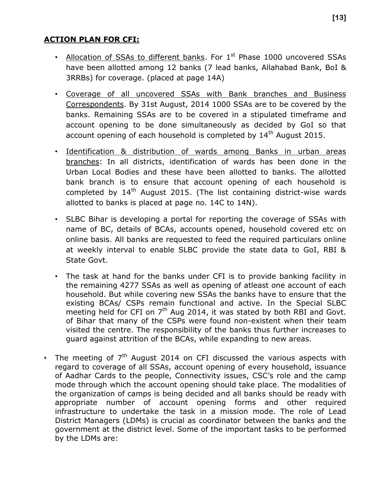### **ACTION PLAN FOR CFI:**

- Allocation of SSAs to different banks. For  $1^{st}$  Phase 1000 uncovered SSAs have been allotted among 12 banks (7 lead banks, Allahabad Bank, BoI & 3RRBs) for coverage. (placed at page 14A)
- Coverage of all uncovered SSAs with Bank branches and Business Correspondents. By 31st August, 2014 1000 SSAs are to be covered by the banks. Remaining SSAs are to be covered in a stipulated timeframe and account opening to be done simultaneously as decided by GoI so that account opening of each household is completed by 14<sup>th</sup> August 2015.
- Identification & distribution of wards among Banks in urban areas branches: In all districts, identification of wards has been done in the Urban Local Bodies and these have been allotted to banks. The allotted bank branch is to ensure that account opening of each household is completed by  $14<sup>th</sup>$  August 2015. (The list containing district-wise wards allotted to banks is placed at page no. 14C to 14N).
- SLBC Bihar is developing a portal for reporting the coverage of SSAs with name of BC, details of BCAs, accounts opened, household covered etc on online basis. All banks are requested to feed the required particulars online at weekly interval to enable SLBC provide the state data to GoI, RBI & State Govt.
- The task at hand for the banks under CFI is to provide banking facility in the remaining 4277 SSAs as well as opening of atleast one account of each household. But while covering new SSAs the banks have to ensure that the existing BCAs/ CSPs remain functional and active. In the Special SLBC meeting held for CFI on  $7<sup>th</sup>$  Aug 2014, it was stated by both RBI and Govt. of Bihar that many of the CSPs were found non-existent when their team visited the centre. The responsibility of the banks thus further increases to guard against attrition of the BCAs, while expanding to new areas.
- The meeting of  $7<sup>th</sup>$  August 2014 on CFI discussed the various aspects with regard to coverage of all SSAs, account opening of every household, issuance of Aadhar Cards to the people, Connectivity issues, CSC's role and the camp mode through which the account opening should take place. The modalities of the organization of camps is being decided and all banks should be ready with appropriate number of account opening forms and other required infrastructure to undertake the task in a mission mode. The role of Lead District Managers (LDMs) is crucial as coordinator between the banks and the government at the district level. Some of the important tasks to be performed by the LDMs are: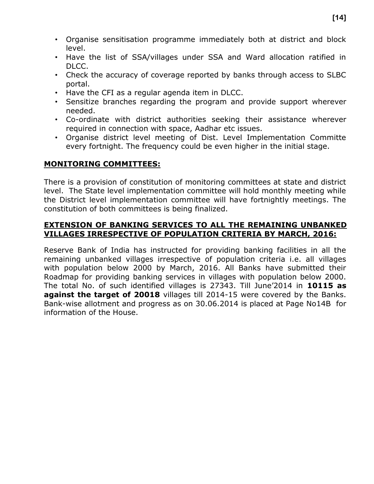- Organise sensitisation programme immediately both at district and block level.
- Have the list of SSA/villages under SSA and Ward allocation ratified in DLCC.
- Check the accuracy of coverage reported by banks through access to SLBC portal.
- Have the CFI as a regular agenda item in DLCC.
- Sensitize branches regarding the program and provide support wherever needed.
- Co-ordinate with district authorities seeking their assistance wherever required in connection with space, Aadhar etc issues.
- Organise district level meeting of Dist. Level Implementation Committe every fortnight. The frequency could be even higher in the initial stage.

#### **MONITORING COMMITTEES:**

There is a provision of constitution of monitoring committees at state and district level. The State level implementation committee will hold monthly meeting while the District level implementation committee will have fortnightly meetings. The constitution of both committees is being finalized.

#### **EXTENSION OF BANKING SERVICES TO ALL THE REMAINING UNBANKED VILLAGES IRRESPECTIVE OF POPULATION CRITERIA BY MARCH, 2016:**

Reserve Bank of India has instructed for providing banking facilities in all the remaining unbanked villages irrespective of population criteria i.e. all villages with population below 2000 by March, 2016. All Banks have submitted their Roadmap for providing banking services in villages with population below 2000. The total No. of such identified villages is 27343. Till June'2014 in **10115 as against the target of 20018** villages till 2014-15 were covered by the Banks. Bank-wise allotment and progress as on 30.06.2014 is placed at Page No14B for information of the House.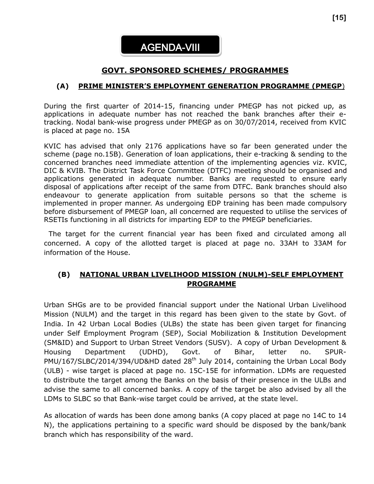### **GOVT. SPONSORED SCHEMES/ PROGRAMMES**

#### **(A) PRIME MINISTER'S EMPLOYMENT GENERATION PROGRAMME (PMEGP**)

During the first quarter of 2014-15, financing under PMEGP has not picked up, as applications in adequate number has not reached the bank branches after their etracking. Nodal bank-wise progress under PMEGP as on 30/07/2014, received from KVIC is placed at page no. 15A

KVIC has advised that only 2176 applications have so far been generated under the scheme (page no.15B). Generation of loan applications, their e-tracking & sending to the concerned branches need immediate attention of the implementing agencies viz. KVIC, DIC & KVIB. The District Task Force Committee (DTFC) meeting should be organised and applications generated in adequate number. Banks are requested to ensure early disposal of applications after receipt of the same from DTFC. Bank branches should also endeavour to generate application from suitable persons so that the scheme is implemented in proper manner. As undergoing EDP training has been made compulsory before disbursement of PMEGP loan, all concerned are requested to utilise the services of RSETIs functioning in all districts for imparting EDP to the PMEGP beneficiaries.

 The target for the current financial year has been fixed and circulated among all concerned. A copy of the allotted target is placed at page no. 33AH to 33AM for information of the House.

#### **(B) NATIONAL URBAN LIVELIHOOD MISSION (NULM)-SELF EMPLOYMENT PROGRAMME**

Urban SHGs are to be provided financial support under the National Urban Livelihood Mission (NULM) and the target in this regard has been given to the state by Govt. of India. In 42 Urban Local Bodies (ULBs) the state has been given target for financing under Self Employment Program (SEP), Social Mobilization & Institution Development (SM&ID) and Support to Urban Street Vendors (SUSV). A copy of Urban Development & Housing Department (UDHD), Govt. of Bihar, letter no. SPUR-PMU/167/SLBC/2014/394/UD&HD dated 28<sup>th</sup> July 2014, containing the Urban Local Body (ULB) - wise target is placed at page no. 15C-15E for information. LDMs are requested to distribute the target among the Banks on the basis of their presence in the ULBs and advise the same to all concerned banks. A copy of the target be also advised by all the LDMs to SLBC so that Bank-wise target could be arrived, at the state level.

As allocation of wards has been done among banks (A copy placed at page no 14C to 14 N), the applications pertaining to a specific ward should be disposed by the bank/bank branch which has responsibility of the ward.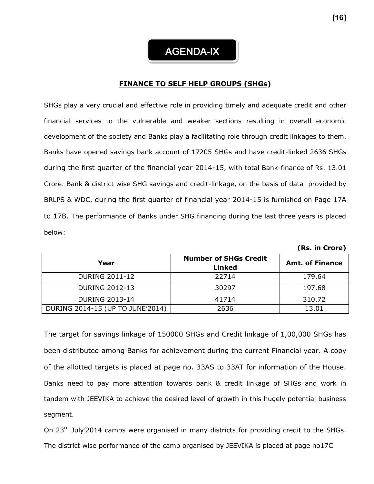#### **FINANCE TO SELF HELP GROUPS (SHGs)**

SHGs play a very crucial and effective role in providing timely and adequate credit and other financial services to the vulnerable and weaker sections resulting in overall economic development of the society and Banks play a facilitating role through credit linkages to them. Banks have opened savings bank account of 17205 SHGs and have credit-linked 2636 SHGs during the first quarter of the financial year 2014-15, with total Bank-finance of Rs. 13.01 Crore. Bank & district wise SHG savings and credit-linkage, on the basis of data provided by BRLPS & WDC, during the first quarter of financial year 2014-15 is furnished on Page 17A to 17B. The performance of Banks under SHG financing during the last three years is placed below:

| Year                             | <b>Number of SHGs Credit</b><br><b>Linked</b> | <b>Amt. of Finance</b> |
|----------------------------------|-----------------------------------------------|------------------------|
| <b>DURING 2011-12</b>            | 22714                                         | 179.64                 |
| <b>DURING 2012-13</b>            | 30297                                         | 197.68                 |
| <b>DURING 2013-14</b>            | 41714                                         | 310.72                 |
| DURING 2014-15 (UP TO JUNE'2014) | 2636                                          | 13.01                  |

The target for savings linkage of 150000 SHGs and Credit linkage of 1,00,000 SHGs has been distributed among Banks for achievement during the current Financial year. A copy of the allotted targets is placed at page no. 33AS to 33AT for information of the House. Banks need to pay more attention towards bank & credit linkage of SHGs and work in tandem with JEEVIKA to achieve the desired level of growth in this hugely potential business segment.

On 23<sup>rd</sup> July'2014 camps were organised in many districts for providing credit to the SHGs. The district wise performance of the camp organised by JEEVIKA is placed at page no17C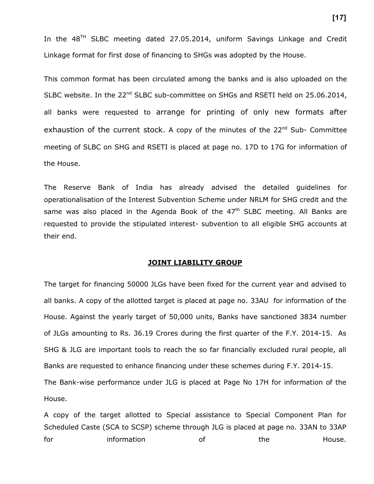In the  $48<sup>TH</sup>$  SLBC meeting dated 27.05.2014, uniform Savings Linkage and Credit Linkage format for first dose of financing to SHGs was adopted by the House.

This common format has been circulated among the banks and is also uploaded on the SLBC website. In the 22<sup>nd</sup> SLBC sub-committee on SHGs and RSETI held on 25.06.2014, all banks were requested to arrange for printing of only new formats after exhaustion of the current stock. A copy of the minutes of the  $22^{nd}$  Sub- Committee meeting of SLBC on SHG and RSETI is placed at page no. 17D to 17G for information of the House.

The Reserve Bank of India has already advised the detailed guidelines for operationalisation of the Interest Subvention Scheme under NRLM for SHG credit and the same was also placed in the Agenda Book of the  $47<sup>th</sup>$  SLBC meeting. All Banks are requested to provide the stipulated interest- subvention to all eligible SHG accounts at their end.

#### **JOINT LIABILITY GROUP**

The target for financing 50000 JLGs have been fixed for the current year and advised to all banks. A copy of the allotted target is placed at page no. 33AU for information of the House. Against the yearly target of 50,000 units, Banks have sanctioned 3834 number of JLGs amounting to Rs. 36.19 Crores during the first quarter of the F.Y. 2014-15. As SHG & JLG are important tools to reach the so far financially excluded rural people, all Banks are requested to enhance financing under these schemes during F.Y. 2014-15. The Bank-wise performance under JLG is placed at Page No 17H for information of the House.

A copy of the target allotted to Special assistance to Special Component Plan for Scheduled Caste (SCA to SCSP) scheme through JLG is placed at page no. 33AN to 33AP for the information of the the House.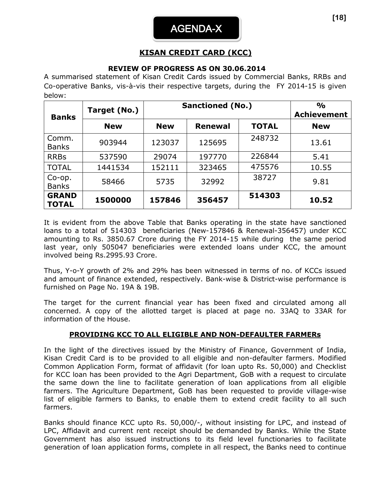## **KISAN CREDIT CARD (KCC)**

#### **REVIEW OF PROGRESS AS ON 30.06.2014**

A summarised statement of Kisan Credit Cards issued by Commercial Banks, RRBs and Co-operative Banks, vis-à-vis their respective targets, during the FY 2014-15 is given below:

| <b>Banks</b>                 | Target (No.) |            | <b>Sanctioned (No.)</b> |              | $\frac{0}{0}$<br><b>Achievement</b> |
|------------------------------|--------------|------------|-------------------------|--------------|-------------------------------------|
|                              | <b>New</b>   | <b>New</b> | <b>Renewal</b>          | <b>TOTAL</b> | <b>New</b>                          |
| Comm.<br><b>Banks</b>        | 903944       | 123037     | 125695                  | 248732       | 13.61                               |
| <b>RRBs</b>                  | 537590       | 29074      | 197770                  | 226844       | 5.41                                |
| <b>TOTAL</b>                 | 1441534      | 152111     | 323465                  | 475576       | 10.55                               |
| $Co$ -op.<br><b>Banks</b>    | 58466        | 5735       | 32992                   | 38727        | 9.81                                |
| <b>GRAND</b><br><b>TOTAL</b> | 1500000      | 157846     | 356457                  | 514303       | 10.52                               |

It is evident from the above Table that Banks operating in the state have sanctioned loans to a total of 514303 beneficiaries (New-157846 & Renewal-356457) under KCC amounting to Rs. 3850.67 Crore during the FY 2014-15 while during the same period last year, only 505047 beneficiaries were extended loans under KCC, the amount involved being Rs.2995.93 Crore.

Thus, Y-o-Y growth of 2% and 29% has been witnessed in terms of no. of KCCs issued and amount of finance extended, respectively. Bank-wise & District-wise performance is furnished on Page No. 19A & 19B.

The target for the current financial year has been fixed and circulated among all concerned. A copy of the allotted target is placed at page no. 33AQ to 33AR for information of the House.

#### **PROVIDING KCC TO ALL ELIGIBLE AND NON-DEFAULTER FARMERs**

In the light of the directives issued by the Ministry of Finance, Government of India, Kisan Credit Card is to be provided to all eligible and non-defaulter farmers. Modified Common Application Form, format of affidavit (for loan upto Rs. 50,000) and Checklist for KCC loan has been provided to the Agri Department, GoB with a request to circulate the same down the line to facilitate generation of loan applications from all eligible farmers. The Agriculture Department, GoB has been requested to provide village-wise list of eligible farmers to Banks, to enable them to extend credit facility to all such farmers.

Banks should finance KCC upto Rs. 50,000/-, without insisting for LPC, and instead of LPC, Affidavit and current rent receipt should be demanded by Banks. While the State Government has also issued instructions to its field level functionaries to facilitate generation of loan application forms, complete in all respect, the Banks need to continue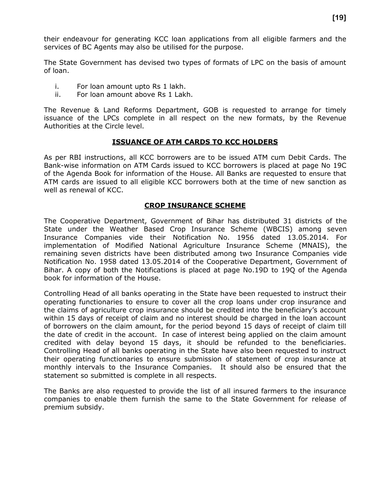their endeavour for generating KCC loan applications from all eligible farmers and the services of BC Agents may also be utilised for the purpose.

The State Government has devised two types of formats of LPC on the basis of amount of loan.

- i. For loan amount upto Rs 1 lakh.
- ii. For loan amount above Rs 1 Lakh.

The Revenue & Land Reforms Department, GOB is requested to arrange for timely issuance of the LPCs complete in all respect on the new formats, by the Revenue Authorities at the Circle level.

#### **ISSUANCE OF ATM CARDS TO KCC HOLDERS**

As per RBI instructions, all KCC borrowers are to be issued ATM cum Debit Cards. The Bank-wise information on ATM Cards issued to KCC borrowers is placed at page No 19C of the Agenda Book for information of the House. All Banks are requested to ensure that ATM cards are issued to all eligible KCC borrowers both at the time of new sanction as well as renewal of KCC.

#### **CROP INSURANCE SCHEME**

The Cooperative Department, Government of Bihar has distributed 31 districts of the State under the Weather Based Crop Insurance Scheme (WBCIS) among seven Insurance Companies vide their Notification No. 1956 dated 13.05.2014. For implementation of Modified National Agriculture Insurance Scheme (MNAIS), the remaining seven districts have been distributed among two Insurance Companies vide Notification No. 1958 dated 13.05.2014 of the Cooperative Department, Government of Bihar. A copy of both the Notifications is placed at page No.19D to 19Q of the Agenda book for information of the House.

Controlling Head of all banks operating in the State have been requested to instruct their operating functionaries to ensure to cover all the crop loans under crop insurance and the claims of agriculture crop insurance should be credited into the beneficiary's account within 15 days of receipt of claim and no interest should be charged in the loan account of borrowers on the claim amount, for the period beyond 15 days of receipt of claim till the date of credit in the account. In case of interest being applied on the claim amount credited with delay beyond 15 days, it should be refunded to the beneficiaries. Controlling Head of all banks operating in the State have also been requested to instruct their operating functionaries to ensure submission of statement of crop insurance at monthly intervals to the Insurance Companies. It should also be ensured that the statement so submitted is complete in all respects.

The Banks are also requested to provide the list of all insured farmers to the insurance companies to enable them furnish the same to the State Government for release of premium subsidy.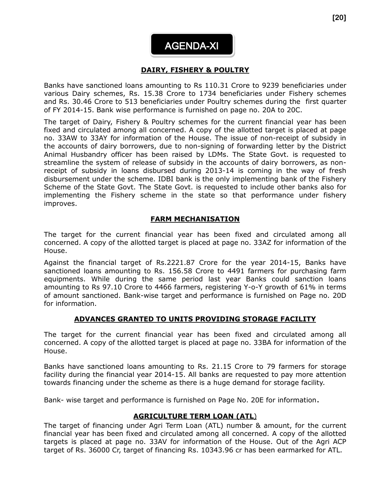

#### **DAIRY, FISHERY & POULTRY**   $\overline{\phantom{a}}$

Banks have sanctioned loans amounting to Rs 110.31 Crore to 9239 beneficiaries under various Dairy schemes, Rs. 15.38 Crore to 1734 beneficiaries under Fishery schemes and Rs. 30.46 Crore to 513 beneficiaries under Poultry schemes during the first quarter of FY 2014-15. Bank wise performance is furnished on page no. 20A to 20C.

The target of Dairy, Fishery & Poultry schemes for the current financial year has been fixed and circulated among all concerned. A copy of the allotted target is placed at page no. 33AW to 33AY for information of the House. The issue of non-receipt of subsidy in the accounts of dairy borrowers, due to non-signing of forwarding letter by the District Animal Husbandry officer has been raised by LDMs. The State Govt. is requested to streamline the system of release of subsidy in the accounts of dairy borrowers, as nonreceipt of subsidy in loans disbursed during 2013-14 is coming in the way of fresh disbursement under the scheme. IDBI bank is the only implementing bank of the Fishery Scheme of the State Govt. The State Govt. is requested to include other banks also for implementing the Fishery scheme in the state so that performance under fishery improves.

#### **FARM MECHANISATION**

The target for the current financial year has been fixed and circulated among all concerned. A copy of the allotted target is placed at page no. 33AZ for information of the House.

Against the financial target of Rs.2221.87 Crore for the year 2014-15, Banks have sanctioned loans amounting to Rs. 156.58 Crore to 4491 farmers for purchasing farm equipments. While during the same period last year Banks could sanction loans amounting to Rs 97.10 Crore to 4466 farmers, registering Y-o-Y growth of 61% in terms of amount sanctioned. Bank-wise target and performance is furnished on Page no. 20D for information.

#### **ADVANCES GRANTED TO UNITS PROVIDING STORAGE FACILITY**

The target for the current financial year has been fixed and circulated among all concerned. A copy of the allotted target is placed at page no. 33BA for information of the House.

Banks have sanctioned loans amounting to Rs. 21.15 Crore to 79 farmers for storage facility during the financial year 2014-15. All banks are requested to pay more attention towards financing under the scheme as there is a huge demand for storage facility.

Bank- wise target and performance is furnished on Page No. 20E for information.

#### **AGRICULTURE TERM LOAN (ATL**)

The target of financing under Agri Term Loan (ATL) number & amount, for the current financial year has been fixed and circulated among all concerned. A copy of the allotted targets is placed at page no. 33AV for information of the House. Out of the Agri ACP target of Rs. 36000 Cr, target of financing Rs. 10343.96 cr has been earmarked for ATL.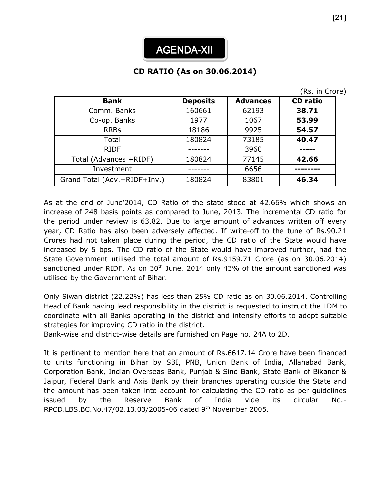## **CD RATIO (As on 30.06.2014)**

|  |  |  | (Rs. in Crore) |  |
|--|--|--|----------------|--|
|--|--|--|----------------|--|

| <b>Bank</b>                  | <b>Deposits</b> | <b>Advances</b> | <b>CD</b> ratio |
|------------------------------|-----------------|-----------------|-----------------|
| Comm. Banks                  | 160661          | 62193           | 38.71           |
| Co-op. Banks                 | 1977            | 1067            | 53.99           |
| <b>RRBs</b>                  | 18186           | 9925            | 54.57           |
| Total                        | 180824          | 73185           | 40.47           |
| <b>RIDF</b>                  |                 | 3960            |                 |
| Total (Advances +RIDF)       | 180824          | 77145           | 42.66           |
| Investment                   |                 | 6656            |                 |
| Grand Total (Adv.+RIDF+Inv.) | 180824          | 83801           | 46.34           |

As at the end of June'2014, CD Ratio of the state stood at 42.66% which shows an increase of 248 basis points as compared to June, 2013. The incremental CD ratio for the period under review is 63.82. Due to large amount of advances written off every year, CD Ratio has also been adversely affected. If write-off to the tune of Rs.90.21 Crores had not taken place during the period, the CD ratio of the State would have increased by 5 bps. The CD ratio of the State would have improved further, had the State Government utilised the total amount of Rs.9159.71 Crore (as on 30.06.2014) sanctioned under RIDF. As on  $30<sup>th</sup>$  June, 2014 only 43% of the amount sanctioned was utilised by the Government of Bihar.

Only Siwan district (22.22%) has less than 25% CD ratio as on 30.06.2014. Controlling Head of Bank having lead responsibility in the district is requested to instruct the LDM to coordinate with all Banks operating in the district and intensify efforts to adopt suitable strategies for improving CD ratio in the district.

Bank-wise and district-wise details are furnished on Page no. 24A to 2D.

It is pertinent to mention here that an amount of Rs.6617.14 Crore have been financed to units functioning in Bihar by SBI, PNB, Union Bank of India, Allahabad Bank, Corporation Bank, Indian Overseas Bank, Punjab & Sind Bank, State Bank of Bikaner & Jaipur, Federal Bank and Axis Bank by their branches operating outside the State and the amount has been taken into account for calculating the CD ratio as per guidelines issued by the Reserve Bank of India vide its circular No.- RPCD.LBS.BC.No.47/02.13.03/2005-06 dated 9th November 2005.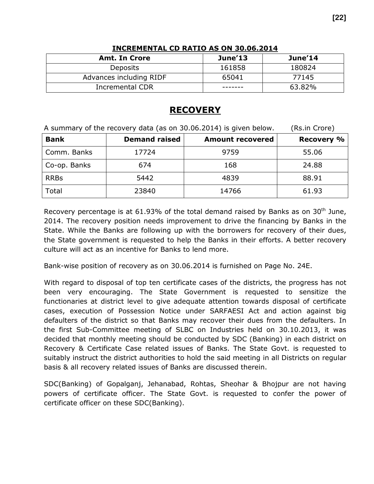| <b>Amt. In Crore</b>    | June'13 | June'14 |
|-------------------------|---------|---------|
| <b>Deposits</b>         | 161858  | 180824  |
| Advances including RIDF | 65041   | 77145   |
| <b>Incremental CDR</b>  |         | 63.82%  |

#### **INCREMENTAL CD RATIO AS ON 30.06.2014**

## **RECOVERY**

A summary of the recovery data (as on 30.06.2014) is given below. (Rs.in Crore) **Bank Demand raised Amount recovered Recovery %** Comm. Banks 17724 9759 55.06  $Co$ -op. Banks  $\begin{array}{|c|c|c|c|c|c|} \hline \end{array}$  674  $\begin{array}{|c|c|c|c|c|c|} \hline \end{array}$  168  $\begin{array}{|c|c|c|c|c|} \hline \end{array}$  24.88 RRBs | 5442 | 4839 | 88.91 Total 23840 14766 61.93

Recovery percentage is at 61.93% of the total demand raised by Banks as on  $30<sup>th</sup>$  June, 2014. The recovery position needs improvement to drive the financing by Banks in the State. While the Banks are following up with the borrowers for recovery of their dues, the State government is requested to help the Banks in their efforts. A better recovery culture will act as an incentive for Banks to lend more.

Bank-wise position of recovery as on 30.06.2014 is furnished on Page No. 24E.

With regard to disposal of top ten certificate cases of the districts, the progress has not been very encouraging. The State Government is requested to sensitize the functionaries at district level to give adequate attention towards disposal of certificate cases, execution of Possession Notice under SARFAESI Act and action against big defaulters of the district so that Banks may recover their dues from the defaulters. In the first Sub-Committee meeting of SLBC on Industries held on 30.10.2013, it was decided that monthly meeting should be conducted by SDC (Banking) in each district on Recovery & Certificate Case related issues of Banks. The State Govt. is requested to suitably instruct the district authorities to hold the said meeting in all Districts on regular basis & all recovery related issues of Banks are discussed therein.

SDC(Banking) of Gopalganj, Jehanabad, Rohtas, Sheohar & Bhojpur are not having powers of certificate officer. The State Govt. is requested to confer the power of certificate officer on these SDC(Banking).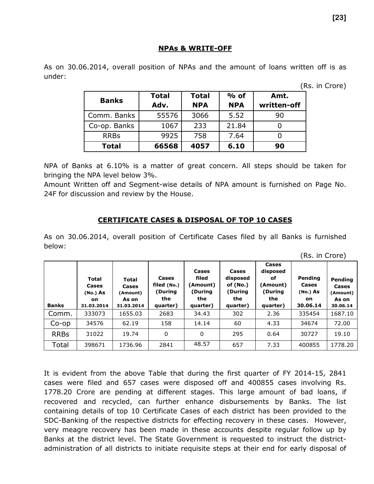#### **NPAs & WRITE-OFF**

As on 30.06.2014, overall position of NPAs and the amount of loans written off is as under:

(Rs. in Crore)

(Rs. in Crore)

|              | <b>Total</b> | <b>Total</b> | $%$ of     | Amt.        |
|--------------|--------------|--------------|------------|-------------|
| <b>Banks</b> | Adv.         | <b>NPA</b>   | <b>NPA</b> | written-off |
| Comm. Banks  | 55576        | 3066         | 5.52       | 90          |
| Co-op. Banks | 1067         | 233          | 21.84      |             |
| <b>RRBs</b>  | 9925         | 758          | 7.64       |             |
| <b>Total</b> | 66568        | 4057         | 6.10       | 90          |

NPA of Banks at 6.10% is a matter of great concern. All steps should be taken for bringing the NPA level below 3%.

Amount Written off and Segment-wise details of NPA amount is furnished on Page No. 24F for discussion and review by the House.

#### **CERTIFICATE CASES & DISPOSAL OF TOP 10 CASES**

As on 30.06.2014, overall position of Certificate Cases filed by all Banks is furnished below:

| <b>Banks</b> | Total<br>Cases<br>(No.) As<br>on.<br>31.03.2014 | <b>Total</b><br>Cases<br>(Amount)<br>As on<br>31.03.2014 | Cases<br>filed (No.)<br>(During<br>the<br>quarter) | Cases<br>filed<br>(Amount)<br>(During<br>the | Cases<br>disposed<br>of $(No.)$<br>(During<br>the | Cases<br>disposed<br>оf<br>(Amount)<br>(During<br>the<br>quarter) | ,<br><b>Pending</b><br>Cases<br>(No.) As<br>on.<br>30.06.14 | Pending<br>Cases<br>(Amount)<br>As on<br>30.06.14 |
|--------------|-------------------------------------------------|----------------------------------------------------------|----------------------------------------------------|----------------------------------------------|---------------------------------------------------|-------------------------------------------------------------------|-------------------------------------------------------------|---------------------------------------------------|
|              |                                                 |                                                          |                                                    | quarter)                                     | quarter)                                          |                                                                   |                                                             |                                                   |
| Comm.        | 333073                                          | 1655.03                                                  | 2683                                               | 34.43                                        | 302                                               | 2.36                                                              | 335454                                                      | 1687.10                                           |
| $Co$ -op     | 34576                                           | 62.19                                                    | 158                                                | 14.14                                        | 60                                                | 4.33                                                              | 34674                                                       | 72.00                                             |
| <b>RRBs</b>  | 31022                                           | 19.74                                                    | 0                                                  | $\mathbf{0}$                                 | 295                                               | 0.64                                                              | 30727                                                       | 19.10                                             |
| Total        | 398671                                          | 1736.96                                                  | 2841                                               | 48.57                                        | 657                                               | 7.33                                                              | 400855                                                      | 1778.20                                           |

It is evident from the above Table that during the first quarter of FY 2014-15, 2841 cases were filed and 657 cases were disposed off and 400855 cases involving Rs. 1778.20 Crore are pending at different stages. This large amount of bad loans, if recovered and recycled, can further enhance disbursements by Banks. The list containing details of top 10 Certificate Cases of each district has been provided to the SDC-Banking of the respective districts for effecting recovery in these cases. However, very meagre recovery has been made in these accounts despite regular follow up by Banks at the district level. The State Government is requested to instruct the districtadministration of all districts to initiate requisite steps at their end for early disposal of

**[23]**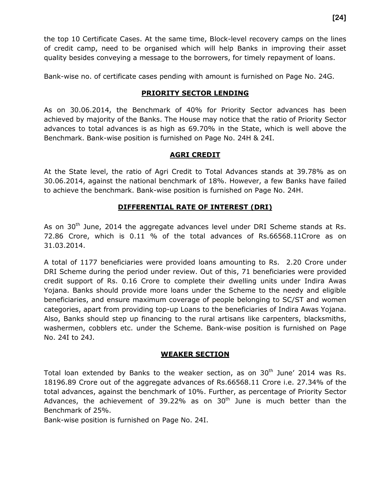the top 10 Certificate Cases. At the same time, Block-level recovery camps on the lines of credit camp, need to be organised which will help Banks in improving their asset quality besides conveying a message to the borrowers, for timely repayment of loans.

Bank-wise no. of certificate cases pending with amount is furnished on Page No. 24G.

#### **PRIORITY SECTOR LENDING**

As on 30.06.2014, the Benchmark of 40% for Priority Sector advances has been achieved by majority of the Banks. The House may notice that the ratio of Priority Sector advances to total advances is as high as 69.70% in the State, which is well above the Benchmark. Bank-wise position is furnished on Page No. 24H & 24I.

#### **AGRI CREDIT**

At the State level, the ratio of Agri Credit to Total Advances stands at 39.78% as on 30.06.2014, against the national benchmark of 18%. However, a few Banks have failed to achieve the benchmark. Bank-wise position is furnished on Page No. 24H.

#### **DIFFERENTIAL RATE OF INTEREST (DRI)**

As on 30<sup>th</sup> June, 2014 the aggregate advances level under DRI Scheme stands at Rs. 72.86 Crore, which is 0.11 % of the total advances of Rs.66568.11Crore as on 31.03.2014.

A total of 1177 beneficiaries were provided loans amounting to Rs. 2.20 Crore under DRI Scheme during the period under review. Out of this, 71 beneficiaries were provided credit support of Rs. 0.16 Crore to complete their dwelling units under Indira Awas Yojana. Banks should provide more loans under the Scheme to the needy and eligible beneficiaries, and ensure maximum coverage of people belonging to SC/ST and women categories, apart from providing top-up Loans to the beneficiaries of Indira Awas Yojana. Also, Banks should step up financing to the rural artisans like carpenters, blacksmiths, washermen, cobblers etc. under the Scheme. Bank-wise position is furnished on Page No. 24I to 24J.

#### **WEAKER SECTION**

Total loan extended by Banks to the weaker section, as on 30<sup>th</sup> June' 2014 was Rs. 18196.89 Crore out of the aggregate advances of Rs.66568.11 Crore i.e. 27.34% of the total advances, against the benchmark of 10%. Further, as percentage of Priority Sector Advances, the achievement of 39.22% as on  $30<sup>th</sup>$  June is much better than the Benchmark of 25%.

Bank-wise position is furnished on Page No. 24I.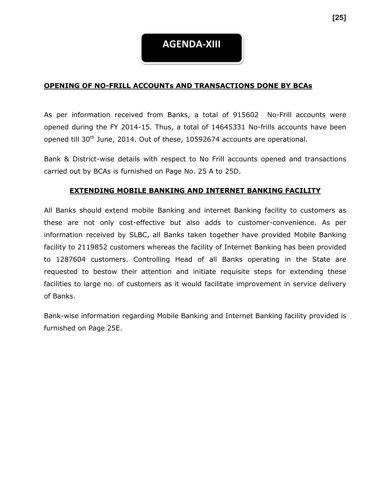## **AGENDA-XIII**

#### **OPENING OF NO-FRILL ACCOUNTs AND TRANSACTIONS DONE BY BCAs**

As per information received from Banks, a total of 915602 No-Frill accounts were opened during the FY 2014-15. Thus, a total of 14645331 No-frills accounts have been opened till 30<sup>th</sup> June, 2014. Out of these, 10592674 accounts are operational.

Bank & District-wise details with respect to No Frill accounts opened and transactions carried out by BCAs is furnished on Page No. 25 A to 25D.

#### **EXTENDING MOBILE BANKING AND INTERNET BANKING FACILITY**

All Banks should extend mobile Banking and internet Banking facility to customers as these are not only cost-effective but also adds to customer-convenience. As per information received by SLBC, all Banks taken together have provided Mobile Banking facility to 2119852 customers whereas the facility of Internet Banking has been provided to 1287604 customers. Controlling Head of all Banks operating in the State are requested to bestow their attention and initiate requisite steps for extending these facilities to large no. of customers as it would facilitate improvement in service delivery of Banks.

Bank-wise information regarding Mobile Banking and Internet Banking facility provided is furnished on Page 25E.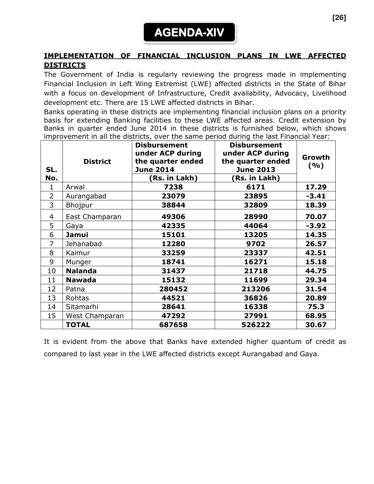## **AGENDA-XIV**

#### **IMPLEMENTATION OF FINANCIAL INCLUSION PLANS IN LWE AFFECTED DISTRICTS**

The Government of India is regularly reviewing the progress made in implementing Financial Inclusion in Left Wing Extremist (LWE) affected districts in the State of Bihar with a focus on development of Infrastructure, Credit availability, Advocacy, Livelihood development etc. There are 15 LWE affected districts in Bihar.

Banks operating in these districts are implementing financial inclusion plans on a priority basis for extending Banking facilities to these LWE affected areas. Credit extension by Banks in quarter ended June 2014 in these districts is furnished below, which shows improvement in all the districts, over the same period during the last Financial Year:

| SL.<br>No.     | <b>District</b> | <b>Disbursement</b><br>under ACP during<br>the quarter ended<br><b>June 2014</b><br>(Rs. in Lakh) | <b>Disbursement</b><br>under ACP during<br>the quarter ended<br><b>June 2013</b><br>(Rs. in Lakh) | Growth<br>(%) |
|----------------|-----------------|---------------------------------------------------------------------------------------------------|---------------------------------------------------------------------------------------------------|---------------|
| 1              | Arwal           | 7238                                                                                              | 6171                                                                                              | 17.29         |
| $\overline{2}$ | Aurangabad      | 23079                                                                                             | 23895                                                                                             | $-3.41$       |
| 3              | Bhojpur         | 38844                                                                                             | 32809                                                                                             | 18.39         |
| 4              | East Champaran  | 49306                                                                                             | 28990                                                                                             | 70.07         |
| 5              | Gaya            | 42335                                                                                             | 44064                                                                                             | $-3.92$       |
| 6              | <b>Jamui</b>    | 15101                                                                                             | 13205                                                                                             | 14.35         |
| 7              | Jehanabad       | 12280                                                                                             | 9702                                                                                              | 26.57         |
| 8              | Kaimur          | 33259                                                                                             | 23337                                                                                             | 42.51         |
| 9              | Munger          | 18741                                                                                             | 16271                                                                                             | 15.18         |
| 10             | <b>Nalanda</b>  | 31437                                                                                             | 21718                                                                                             | 44.75         |
| 11             | <b>Nawada</b>   | 15132                                                                                             | 11699                                                                                             | 29.34         |
| 12             | Patna           | 280452                                                                                            | 213206                                                                                            | 31.54         |
| 13             | Rohtas          | 44521                                                                                             | 36826                                                                                             | 20.89         |
| 14             | Sitamarhi       | 28641                                                                                             | 16338                                                                                             | 75.3          |
| 15             | West Champaran  | 47292                                                                                             | 27991                                                                                             | 68.95         |
|                | <b>TOTAL</b>    | 687658                                                                                            | 526222                                                                                            | 30.67         |

It is evident from the above that Banks have extended higher quantum of credit as compared to last year in the LWE affected districts except Aurangabad and Gaya.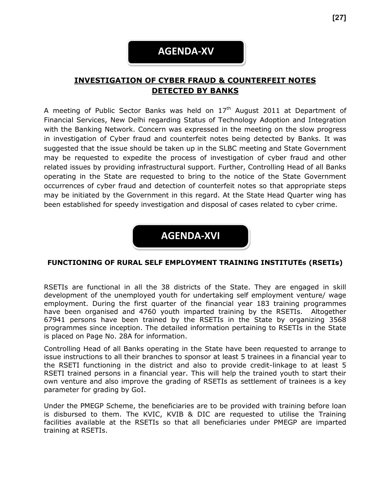## **AGENDA-XV**

### **INVESTIGATION OF CYBER FRAUD & COUNTERFEIT NOTES DETECTED BY BANKS**

A meeting of Public Sector Banks was held on  $17<sup>th</sup>$  August 2011 at Department of Financial Services, New Delhi regarding Status of Technology Adoption and Integration with the Banking Network. Concern was expressed in the meeting on the slow progress in investigation of Cyber fraud and counterfeit notes being detected by Banks. It was suggested that the issue should be taken up in the SLBC meeting and State Government may be requested to expedite the process of investigation of cyber fraud and other related issues by providing infrastructural support. Further, Controlling Head of all Banks operating in the State are requested to bring to the notice of the State Government occurrences of cyber fraud and detection of counterfeit notes so that appropriate steps may be initiated by the Government in this regard. At the State Head Quarter wing has been established for speedy investigation and disposal of cases related to cyber crime.



#### **FUNCTIONING OF RURAL SELF EMPLOYMENT TRAINING INSTITUTEs (RSETIs)**

RSETIs are functional in all the 38 districts of the State. They are engaged in skill development of the unemployed youth for undertaking self employment venture/ wage employment. During the first quarter of the financial year 183 training programmes have been organised and 4760 youth imparted training by the RSETIs. Altogether 67941 persons have been trained by the RSETIs in the State by organizing 3568 programmes since inception. The detailed information pertaining to RSETIs in the State is placed on Page No. 28A for information.

Controlling Head of all Banks operating in the State have been requested to arrange to issue instructions to all their branches to sponsor at least 5 trainees in a financial year to the RSETI functioning in the district and also to provide credit-linkage to at least 5 RSETI trained persons in a financial year. This will help the trained youth to start their own venture and also improve the grading of RSETIs as settlement of trainees is a key parameter for grading by GoI.

Under the PMEGP Scheme, the beneficiaries are to be provided with training before loan is disbursed to them. The KVIC, KVIB & DIC are requested to utilise the Training facilities available at the RSETIs so that all beneficiaries under PMEGP are imparted training at RSETIs.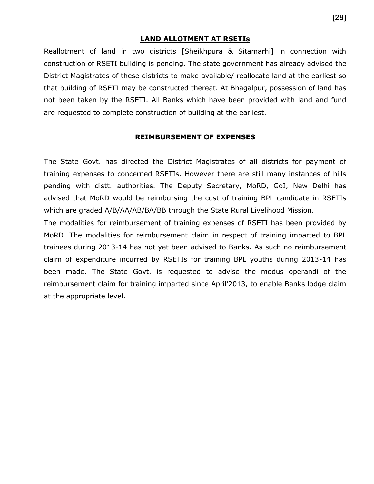#### **LAND ALLOTMENT AT RSETIs**

Reallotment of land in two districts [Sheikhpura & Sitamarhi] in connection with construction of RSETI building is pending. The state government has already advised the District Magistrates of these districts to make available/ reallocate land at the earliest so that building of RSETI may be constructed thereat. At Bhagalpur, possession of land has not been taken by the RSETI. All Banks which have been provided with land and fund are requested to complete construction of building at the earliest.

#### **REIMBURSEMENT OF EXPENSES**

The State Govt. has directed the District Magistrates of all districts for payment of training expenses to concerned RSETIs. However there are still many instances of bills pending with distt. authorities. The Deputy Secretary, MoRD, GoI, New Delhi has advised that MoRD would be reimbursing the cost of training BPL candidate in RSETIs which are graded A/B/AA/AB/BA/BB through the State Rural Livelihood Mission.

The modalities for reimbursement of training expenses of RSETI has been provided by MoRD. The modalities for reimbursement claim in respect of training imparted to BPL trainees during 2013-14 has not yet been advised to Banks. As such no reimbursement claim of expenditure incurred by RSETIs for training BPL youths during 2013-14 has been made. The State Govt. is requested to advise the modus operandi of the reimbursement claim for training imparted since April'2013, to enable Banks lodge claim at the appropriate level.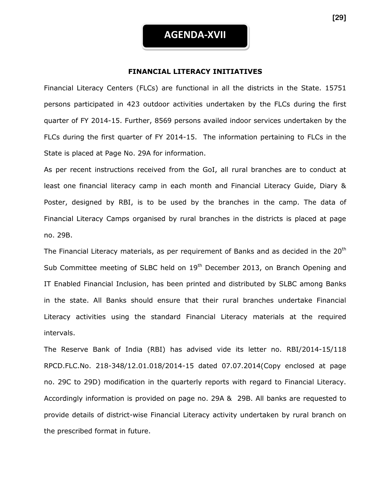#### **FINANCIAL LITERACY INITIATIVES**

Financial Literacy Centers (FLCs) are functional in all the districts in the State. 15751 persons participated in 423 outdoor activities undertaken by the FLCs during the first quarter of FY 2014-15. Further, 8569 persons availed indoor services undertaken by the FLCs during the first quarter of FY 2014-15. The information pertaining to FLCs in the State is placed at Page No. 29A for information.

As per recent instructions received from the GoI, all rural branches are to conduct at least one financial literacy camp in each month and Financial Literacy Guide, Diary & Poster, designed by RBI, is to be used by the branches in the camp. The data of Financial Literacy Camps organised by rural branches in the districts is placed at page no. 29B.

The Financial Literacy materials, as per requirement of Banks and as decided in the  $20<sup>th</sup>$ Sub Committee meeting of SLBC held on 19<sup>th</sup> December 2013, on Branch Opening and IT Enabled Financial Inclusion, has been printed and distributed by SLBC among Banks in the state. All Banks should ensure that their rural branches undertake Financial Literacy activities using the standard Financial Literacy materials at the required intervals.

The Reserve Bank of India (RBI) has advised vide its letter no. RBI/2014-15/118 RPCD.FLC.No. 218-348/12.01.018/2014-15 dated 07.07.2014(Copy enclosed at page no. 29C to 29D) modification in the quarterly reports with regard to Financial Literacy. Accordingly information is provided on page no. 29A & 29B. All banks are requested to provide details of district-wise Financial Literacy activity undertaken by rural branch on the prescribed format in future.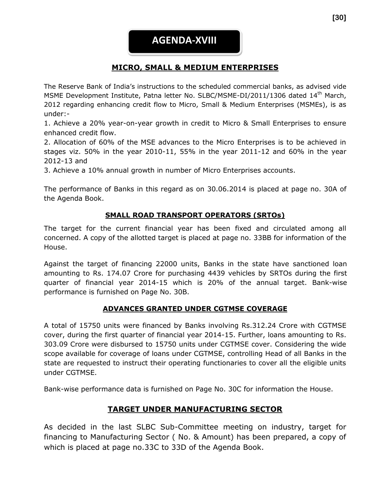### **MICRO, SMALL & MEDIUM ENTERPRISES**

The Reserve Bank of India's instructions to the scheduled commercial banks, as advised vide MSME Development Institute, Patna letter No. SLBC/MSME-DI/2011/1306 dated 14<sup>th</sup> March, 2012 regarding enhancing credit flow to Micro, Small & Medium Enterprises (MSMEs), is as under:-

1. Achieve a 20% year-on-year growth in credit to Micro & Small Enterprises to ensure enhanced credit flow.

2. Allocation of 60% of the MSE advances to the Micro Enterprises is to be achieved in stages viz. 50% in the year 2010-11, 55% in the year 2011-12 and 60% in the year 2012-13 and

3. Achieve a 10% annual growth in number of Micro Enterprises accounts.

The performance of Banks in this regard as on 30.06.2014 is placed at page no. 30A of the Agenda Book.

#### **SMALL ROAD TRANSPORT OPERATORS (SRTOs)**

The target for the current financial year has been fixed and circulated among all concerned. A copy of the allotted target is placed at page no. 33BB for information of the House.

Against the target of financing 22000 units, Banks in the state have sanctioned loan amounting to Rs. 174.07 Crore for purchasing 4439 vehicles by SRTOs during the first quarter of financial year 2014-15 which is 20% of the annual target. Bank-wise performance is furnished on Page No. 30B.

#### **ADVANCES GRANTED UNDER CGTMSE COVERAGE**

A total of 15750 units were financed by Banks involving Rs.312.24 Crore with CGTMSE cover, during the first quarter of financial year 2014-15. Further, loans amounting to Rs. 303.09 Crore were disbursed to 15750 units under CGTMSE cover. Considering the wide scope available for coverage of loans under CGTMSE, controlling Head of all Banks in the state are requested to instruct their operating functionaries to cover all the eligible units under CGTMSE.

Bank-wise performance data is furnished on Page No. 30C for information the House.

### **TARGET UNDER MANUFACTURING SECTOR**

As decided in the last SLBC Sub-Committee meeting on industry, target for financing to Manufacturing Sector ( No. & Amount) has been prepared, a copy of which is placed at page no.33C to 33D of the Agenda Book.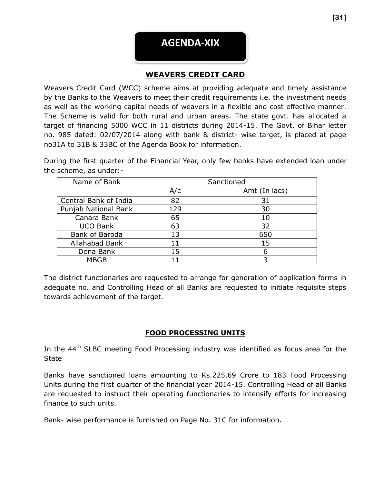

Weavers Credit Card (WCC) scheme aims at providing adequate and timely assistance by the Banks to the Weavers to meet their credit requirements i.e. the investment needs as well as the working capital needs of weavers in a flexible and cost effective manner. The Scheme is valid for both rural and urban areas. The state govt. has allocated a target of financing 5000 WCC in 11 districts during 2014-15. The Govt. of Bihar letter no. 985 dated: 02/07/2014 along with bank & district- wise target, is placed at page no31A to 31B & 33BC of the Agenda Book for information.

During the first quarter of the Financial Year, only few banks have extended loan under the scheme, as under:-

| Name of Bank          | Sanctioned |               |  |  |
|-----------------------|------------|---------------|--|--|
|                       | A/c        | Amt (In lacs) |  |  |
| Central Bank of India | 82         | 31            |  |  |
| Punjab National Bank  | 129        | 30            |  |  |
| Canara Bank           | 65         | 10            |  |  |
| <b>UCO Bank</b>       | 63         | 32            |  |  |
| Bank of Baroda        | 13         | 650           |  |  |
| Allahabad Bank        | 11         | 15            |  |  |
| Dena Bank             | 15         | 6             |  |  |
| <b>MBGB</b>           |            |               |  |  |

The district functionaries are requested to arrange for generation of application forms in adequate no. and Controlling Head of all Banks are requested to initiate requisite steps towards achievement of the target.

#### **FOOD PROCESSING UNITS**

In the 44<sup>th</sup> SLBC meeting Food Processing industry was identified as focus area for the **State** 

Banks have sanctioned loans amounting to Rs.225.69 Crore to 183 Food Processing Units during the first quarter of the financial year 2014-15. Controlling Head of all Banks are requested to instruct their operating functionaries to intensify efforts for increasing finance to such units.

Bank- wise performance is furnished on Page No. 31C for information.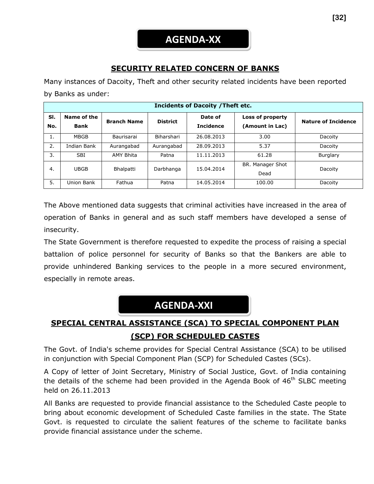### **SECURITY RELATED CONCERN OF BANKS**

Many instances of Dacoity, Theft and other security related incidents have been reported by Banks as under:

| <b>Incidents of Dacoity / Theft etc.</b> |                            |                    |                 |                             |                                     |                            |  |
|------------------------------------------|----------------------------|--------------------|-----------------|-----------------------------|-------------------------------------|----------------------------|--|
| SI.<br>No.                               | Name of the<br><b>Bank</b> | <b>Branch Name</b> | <b>District</b> | Date of<br><b>Incidence</b> | Loss of property<br>(Amount in Lac) | <b>Nature of Incidence</b> |  |
| 1.                                       | MBGB                       | Baurisarai         | Biharshari      | 26.08.2013                  | 3.00                                | Dacoity                    |  |
| 2.                                       | Indian Bank                | Aurangabad         | Aurangabad      | 28.09.2013                  | 5.37                                | Dacoity                    |  |
| 3.                                       | <b>SBI</b>                 | AMY Bhita          | Patna           | 11.11.2013                  | 61.28                               | Burglary                   |  |
| 4.                                       | <b>UBGB</b>                | Bhalpatti          | Darbhanga       | 15.04.2014                  | BR. Manager Shot<br>Dead            | Dacoity                    |  |
| 5.                                       | Union Bank                 | Fathua             | Patna           | 14.05.2014                  | 100.00                              | Dacoity                    |  |

The Above mentioned data suggests that criminal activities have increased in the area of operation of Banks in general and as such staff members have developed a sense of insecurity.

The State Government is therefore requested to expedite the process of raising a special battalion of police personnel for security of Banks so that the Bankers are able to provide unhindered Banking services to the people in a more secured environment, especially in remote areas.

## **AGENDA-XXI**

## **SPECIAL CENTRAL ASSISTANCE (SCA) TO SPECIAL COMPONENT PLAN (SCP) FOR SCHEDULED CASTES**

The Govt. of India's scheme provides for Special Central Assistance (SCA) to be utilised in conjunction with Special Component Plan (SCP) for Scheduled Castes (SCs).

A Copy of letter of Joint Secretary, Ministry of Social Justice, Govt. of India containing the details of the scheme had been provided in the Agenda Book of  $46<sup>th</sup>$  SLBC meeting held on 26.11.2013

All Banks are requested to provide financial assistance to the Scheduled Caste people to bring about economic development of Scheduled Caste families in the state. The State Govt. is requested to circulate the salient features of the scheme to facilitate banks provide financial assistance under the scheme.